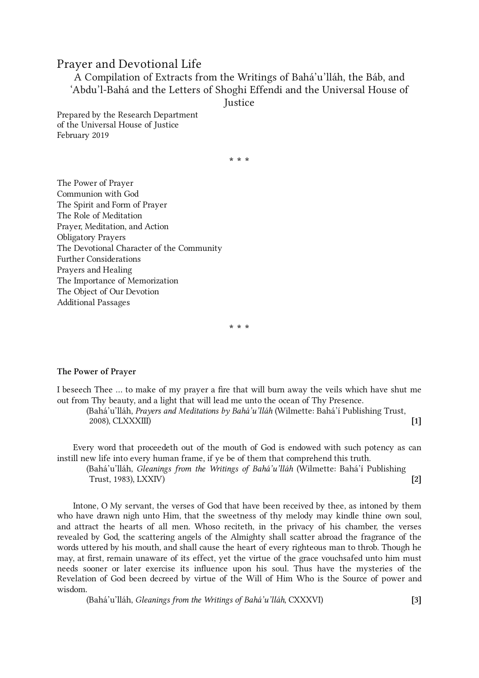## Prayer and Devotional Life

A Compilation of Extracts from the Writings of Bahá'u'lláh, the Báb, and 'Abdu'l‑Bahá and the Letters of Shoghi Effendi and the Universal House of Justice

Prepared by the Research Department of the Universal House of Justice February 2019

\* \* \*

The Power of [Prayer](#page-0-0) [Communion](#page-2-0) with God The Spirit and Form of [Prayer](#page-4-0) The Role of [Meditation](#page-6-0) Prayer, [Meditation,](#page-8-0) and Action [Obligatory](#page-9-0) Prayers The Devotional Character of the [Community](#page-11-0) Further [Considerations](#page-14-0) Prayers and [Healing](#page-14-1) The Importance of [Memorization](#page-15-0) The Object of Our [Devotion](#page-15-1) [Additional](#page-16-0) Passages

\* \* \*

## <span id="page-0-0"></span>The Power of Prayer

I beseech Thee … to make of my prayer a fire that will burn away the veils which have shut me out from Thy beauty, and a light that will lead me unto the ocean of Thy Presence.

(Bahá'u'lláh, Prayers and Meditations by Bahá'u'lláh (Wilmette: Bahá'í Publishing Trust, 2008), CLXXXIII) [1]

Every word that proceedeth out of the mouth of God is endowed with such potency as can instill new life into every human frame, if ye be of them that comprehend this truth.

(Bahá'u'lláh, Gleanings from the Writings of Bahá'u'lláh (Wilmette: Bahá'í Publishing Trust, 1983), LXXIV) [2]

Intone, O My servant, the verses of God that have been received by thee, as intoned by them who have drawn nigh unto Him, that the sweetness of thy melody may kindle thine own soul, and attract the hearts of all men. Whoso reciteth, in the privacy of his chamber, the verses revealed by God, the scattering angels of the Almighty shall scatter abroad the fragrance of the words uttered by his mouth, and shall cause the heart of every righteous man to throb. Though he may, at first, remain unaware of its effect, yet the virtue of the grace vouchsafed unto him must needs sooner or later exercise its influence upon his soul. Thus have the mysteries of the Revelation of God been decreed by virtue of the Will of Him Who is the Source of power and wisdom.

(Bahá'u'lláh, Gleanings from the Writings of Bahá'u'lláh, CXXXVI) [3]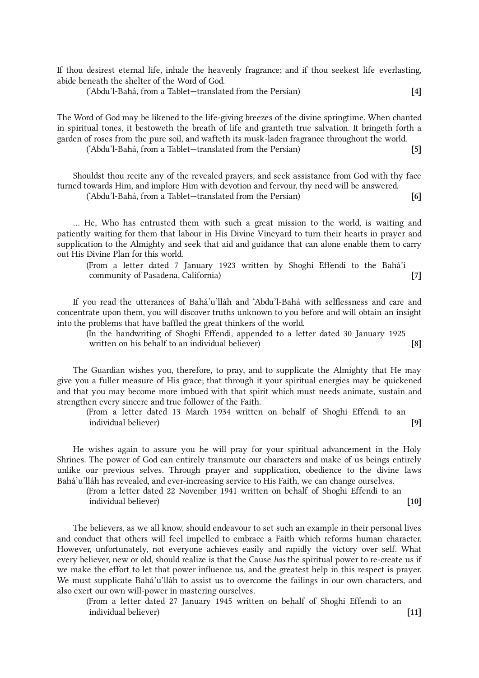If thou desirest eternal life, inhale the heavenly fragrance; and if thou seekest life everlasting, abide beneath the shelter of the Word of God.

|  | ('Abdu'l-Bahá, from a Tablet-translated from the Persian) |  |
|--|-----------------------------------------------------------|--|
|  |                                                           |  |

The Word of God may be likened to the life-giving breezes of the divine springtime. When chanted in spiritual tones, it bestoweth the breath of life and granteth true salvation. It bringeth forth a garden of roses from the pure soil, and wafteth its musk-laden fragrance throughout the world. ('Abdu'l-Bahá, from a Tablet—translated from the Persian) [5]

Shouldst thou recite any of the revealed prayers, and seek assistance from God with thy face turned towards Him, and implore Him with devotion and fervour, thy need will be answered. ('Abdu'l-Bahá, from a Tablet—translated from the Persian) [6]

... He, Who has entrusted them with such a great mission to the world, is waiting and patiently waiting for them that labour in His Divine Vineyard to turn their hearts in prayer and supplication to the Almighty and seek that aid and guidance that can alone enable them to carry out His Divine Plan for this world.

(From a letter dated 7 January 1923 written by Shoghi Effendi to the Bahá'í community of Pasadena, California) [7]

If you read the utterances of Bahá'u'lláh and 'Abdu'l-Bahá with selflessness and care and concentrate upon them, you will discover truths unknown to you before and will obtain an insight into the problems that have baffled the great thinkers of the world.

(In the handwriting of Shoghi Effendi, appended to a letter dated 30 January 1925 written on his behalf to an individual believer) [8]

The Guardian wishes you, therefore, to pray, and to supplicate the Almighty that He may give you a fuller measure of His grace; that through it your spiritual energies may be quickened and that you may become more imbued with that spirit which must needs animate, sustain and strengthen every sincere and true follower of the Faith.

(From a letter dated 13 March 1934 written on behalf of Shoghi Effendi to an individual believer) [9]

He wishes again to assure you he will pray for your spiritual advancement in the Holy Shrines. The power of God can entirely transmute our characters and make of us beings entirely unlike our previous selves. Through prayer and supplication, obedience to the divine laws Bahá'u'lláh has revealed, and ever-increasing service to His Faith, we can change ourselves.

(From a letter dated 22 November 1941 written on behalf of Shoghi Effendi to an individual believer) [10]

The believers, as we all know, should endeavour to set such an example in their personal lives and conduct that others will feel impelled to embrace a Faith which reforms human character. However, unfortunately, not everyone achieves easily and rapidly the victory over self. What every believer, new or old, should realize is that the Cause has the spiritual power to re-create us if we make the effort to let that power influence us, and the greatest help in this respect is prayer. We must supplicate Bahá'u'lláh to assist us to overcome the failings in our own characters, and also exert our own will-power in mastering ourselves.

(From a letter dated 27 January 1945 written on behalf of Shoghi Effendi to an individual believer) [11]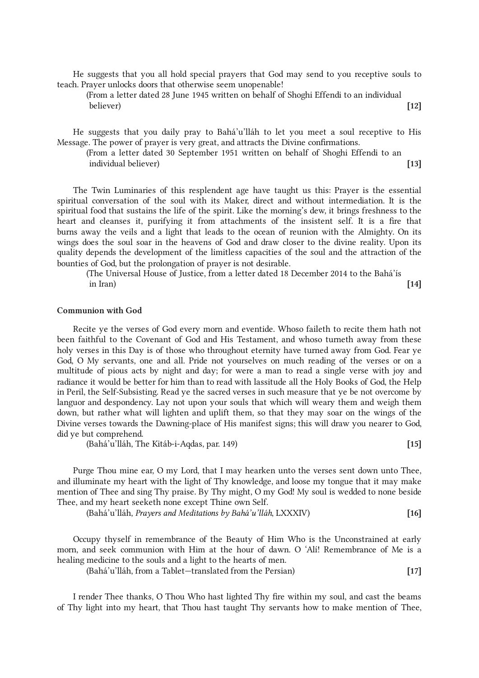He suggests that you all hold special prayers that God may send to you receptive souls to teach. Prayer unlocks doors that otherwise seem unopenable!

(From a letter dated 28 June 1945 written on behalf of Shoghi Effendi to an individual believer) [12] [12]

He suggests that you daily pray to Bahá'u'lláh to let you meet a soul receptive to His Message. The power of prayer is very great, and attracts the Divine confirmations.

(From a letter dated 30 September 1951 written on behalf of Shoghi Effendi to an individual believer) [13]

The Twin Luminaries of this resplendent age have taught us this: Prayer is the essential spiritual conversation of the soul with its Maker, direct and without intermediation. It is the spiritual food that sustains the life of the spirit. Like the morning's dew, it brings freshness to the heart and cleanses it, purifying it from attachments of the insistent self. It is a fire that burns away the veils and a light that leads to the ocean of reunion with the Almighty. On its wings does the soul soar in the heavens of God and draw closer to the divine reality. Upon its quality depends the development of the limitless capacities of the soul and the attraction of the bounties of God, but the prolongation of prayer is not desirable.

(The Universal House of Justice, from a letter dated 18 December 2014 to the Bahá'ís in Iran)  $[14]$ 

#### <span id="page-2-0"></span>Communion with God

Recite ye the verses of God every morn and eventide. Whoso faileth to recite them hath not been faithful to the Covenant of God and His Testament, and whoso turneth away from these holy verses in this Day is of those who throughout eternity have turned away from God. Fear ye God, O My servants, one and all. Pride not yourselves on much reading of the verses or on a multitude of pious acts by night and day; for were a man to read a single verse with joy and radiance it would be better for him than to read with lassitude all the Holy Books of God, the Help in Peril, the Self-Subsisting. Read ye the sacred verses in such measure that ye be not overcome by languor and despondency. Lay not upon your souls that which will weary them and weigh them down, but rather what will lighten and uplift them, so that they may soar on the wings of the Divine verses towards the Dawning-place of His manifest signs; this will draw you nearer to God, did ye but comprehend.

(Bahá'u'lláh, The Kitáb-i-Aqdas, par. 149) [15]

Purge Thou mine ear, O my Lord, that I may hearken unto the verses sent down unto Thee, and illuminate my heart with the light of Thy knowledge, and loose my tongue that it may make mention of Thee and sing Thy praise. By Thy might, O my God! My soul is wedded to none beside Thee, and my heart seeketh none except Thine own Self.

 $(Bahá'u'lláh, *Pravers and Meditations by Bahá'u'lláh, LXXXIV*)$  [16]

Occupy thyself in remembrance of the Beauty of Him Who is the Unconstrained at early morn, and seek communion with Him at the hour of dawn. O 'Alí! Remembrance of Me is a healing medicine to the souls and a light to the hearts of men.

(Bahá'u'lláh, from a Tablet—translated from the Persian) [17]

I render Thee thanks, O Thou Who hast lighted Thy fire within my soul, and cast the beams of Thy light into my heart, that Thou hast taught Thy servants how to make mention of Thee,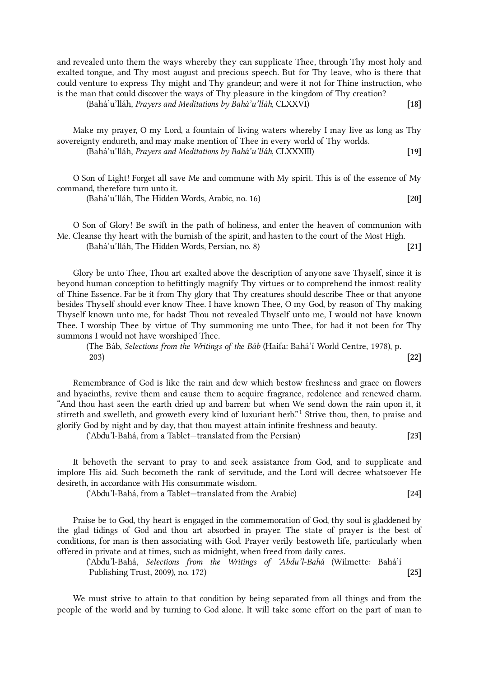and revealed unto them the ways whereby they can supplicate Thee, through Thy most holy and exalted tongue, and Thy most august and precious speech. But for Thy leave, who is there that could venture to express Thy might and Thy grandeur; and were it not for Thine instruction, who is the man that could discover the ways of Thy pleasure in the kingdom of Thy creation?

(Bahá'u'lláh, Prayers and Meditations by Bahá'u'lláh, CLXXVI) [18]

Make my prayer, O my Lord, a fountain of living waters whereby I may live as long as Thy sovereignty endureth, and may make mention of Thee in every world of Thy worlds. (Bahá'u'lláh, Prayers and Meditations by Bahá'u'lláh, CLXXXIII) [19]

O Son of Light! Forget all save Me and commune with My spirit. This is of the essence of My command, therefore turn unto it.

(Bahá'u'lláh, The Hidden Words, Arabic, no. 16) [20]

O Son of Glory! Be swift in the path of holiness, and enter the heaven of communion with Me. Cleanse thy heart with the burnish of the spirit, and hasten to the court of the Most High. (Bahá'u'lláh, The Hidden Words, Persian, no. 8) [21]

Glory be unto Thee, Thou art exalted above the description of anyone save Thyself, since it is beyond human conception to befittingly magnify Thy virtues or to comprehend the inmost reality of Thine Essence. Far be it from Thy glory that Thy creatures should describe Thee or that anyone besides Thyself should ever know Thee. I have known Thee, O my God, by reason of Thy making Thyself known unto me, for hadst Thou not revealed Thyself unto me, I would not have known Thee. I worship Thee by virtue of Thy summoning me unto Thee, for had it not been for Thy summons I would not have worshiped Thee.

(The Báb, Selections from the Writings of the Báb (Haifa: Bahá'í World Centre, 1978), p.  $(22)$ 

<span id="page-3-0"></span>Remembrance of God is like the rain and dew which bestow freshness and grace on flowers and hyacinths, revive them and cause them to acquire fragrance, redolence and renewed charm. "And thou hast seen the earth dried up and barren: but when We send down the rain upon it, it stirreth and swelleth, and groweth every kind of luxuriant herb."<sup>[1](#page-20-0)</sup> Strive thou, then, to praise and glorify God by night and by day, that thou mayest attain infinite freshness and beauty.

('Abdu'l-Bahá, from a Tablet—translated from the Persian) [23]

It behoveth the servant to pray to and seek assistance from God, and to supplicate and implore His aid. Such becometh the rank of servitude, and the Lord will decree whatsoever He desireth, in accordance with His consummate wisdom.

('Abdu'l-Bahá, from a Tablet—translated from the Arabic) [24]

Praise be to God, thy heart is engaged in the commemoration of God, thy soul is gladdened by the glad tidings of God and thou art absorbed in prayer. The state of prayer is the best of conditions, for man is then associating with God. Prayer verily bestoweth life, particularly when offered in private and at times, such as midnight, when freed from daily cares.

('Abdu'l-Bahá, Selections from the Writings of 'Abdu'l-Bahá (Wilmette: Bahá'í Publishing Trust, 2009), no. 172) [25]

We must strive to attain to that condition by being separated from all things and from the people of the world and by turning to God alone. It will take some effort on the part of man to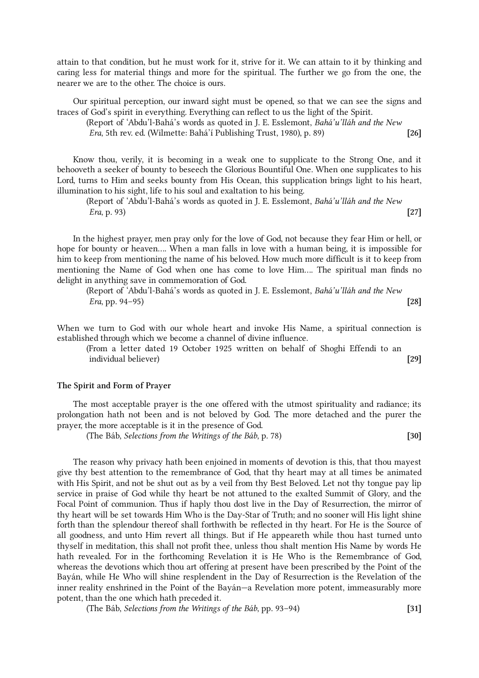attain to that condition, but he must work for it, strive for it. We can attain to it by thinking and caring less for material things and more for the spiritual. The further we go from the one, the nearer we are to the other. The choice is ours.

Our spiritual perception, our inward sight must be opened, so that we can see the signs and traces of God's spirit in everything. Everything can reflect to us the light of the Spirit.

(Report of 'Abdu'l-Bahá's words as quoted in J. E. Esslemont, Bahá'u'lláh and the New Era, 5th rev. ed. (Wilmette: Bahá'í Publishing Trust, 1980), p. 89) [26]

Know thou, verily, it is becoming in a weak one to supplicate to the Strong One, and it behooveth a seeker of bounty to beseech the Glorious Bountiful One. When one supplicates to his Lord, turns to Him and seeks bounty from His Ocean, this supplication brings light to his heart, illumination to his sight, life to his soul and exaltation to his being.

(Report of 'Abdu'l-Bahá's words as quoted in J. E. Esslemont, Bahá'u'lláh and the New Era, p. 93) [27]

In the highest prayer, men pray only for the love of God, not because they fear Him or hell, or hope for bounty or heaven.... When a man falls in love with a human being, it is impossible for him to keep from mentioning the name of his beloved. How much more difficult is it to keep from mentioning the Name of God when one has come to love Him.... The spiritual man finds no delight in anything save in commemoration of God.

(Report of 'Abdu'l-Bahá's words as quoted in J. E. Esslemont, Bahá'u'lláh and the New  $Era, pp. 94–95$  [28]

When we turn to God with our whole heart and invoke His Name, a spiritual connection is established through which we become a channel of divine influence.

(From a letter dated 19 October 1925 written on behalf of Shoghi Effendi to an individual believer) [29]

#### <span id="page-4-0"></span>The Spirit and Form of Prayer

The most acceptable prayer is the one offered with the utmost spirituality and radiance; its prolongation hath not been and is not beloved by God. The more detached and the purer the prayer, the more acceptable is it in the presence of God.

(The Báb, Selections from the Writings of the Báb, p. 78) [30]

The reason why privacy hath been enjoined in moments of devotion is this, that thou mayest give thy best attention to the remembrance of God, that thy heart may at all times be animated with His Spirit, and not be shut out as by a veil from thy Best Beloved. Let not thy tongue pay lip service in praise of God while thy heart be not attuned to the exalted Summit of Glory, and the Focal Point of communion. Thus if haply thou dost live in the Day of Resurrection, the mirror of thy heart will be set towards Him Who is the Day-Star of Truth; and no sooner will His light shine forth than the splendour thereof shall forthwith be reflected in thy heart. For He is the Source of all goodness, and unto Him revert all things. But if He appeareth while thou hast turned unto thyself in meditation, this shall not profit thee, unless thou shalt mention His Name by words He hath revealed. For in the forthcoming Revelation it is He Who is the Remembrance of God, whereas the devotions which thou art offering at present have been prescribed by the Point of the Bayán, while He Who will shine resplendent in the Day of Resurrection is the Revelation of the inner reality enshrined in the Point of the Bayán—a Revelation more potent, immeasurably more potent, than the one which hath preceded it.

(The Báb, Selections from the Writings of the Báb, pp. 93–94) [31]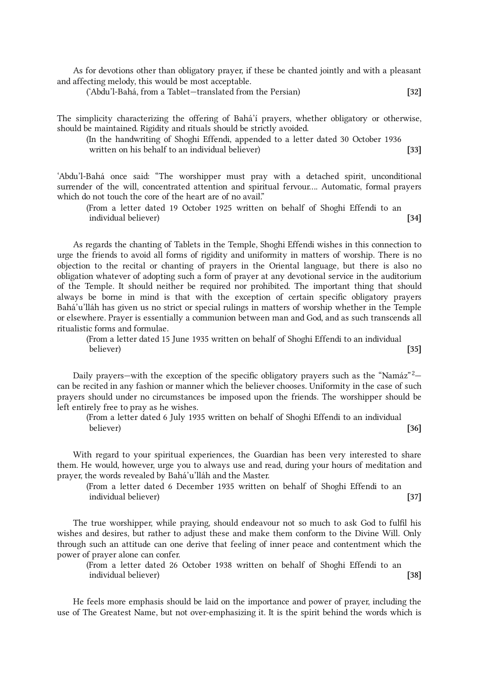As for devotions other than obligatory prayer, if these be chanted jointly and with a pleasant and affecting melody, this would be most acceptable.

('Abdu'l-Bahá, from a Tablet—translated from the Persian) [32]

The simplicity characterizing the offering of Bahá'í prayers, whether obligatory or otherwise, should be maintained. Rigidity and rituals should be strictly avoided.

(In the handwriting of Shoghi Effendi, appended to a letter dated 30 October 1936 written on his behalf to an individual believer) [33]

'Abdu'l-Bahá once said: "The worshipper must pray with a detached spirit, unconditional surrender of the will, concentrated attention and spiritual fervour…. Automatic, formal prayers which do not touch the core of the heart are of no avail."

(From a letter dated 19 October 1925 written on behalf of Shoghi Effendi to an individual believer) [34]

As regards the chanting of Tablets in the Temple, Shoghi Effendi wishes in this connection to urge the friends to avoid all forms of rigidity and uniformity in matters of worship. There is no objection to the recital or chanting of prayers in the Oriental language, but there is also no obligation whatever of adopting such a form of prayer at any devotional service in the auditorium of the Temple. It should neither be required nor prohibited. The important thing that should always be borne in mind is that with the exception of certain specific obligatory prayers Bahá'u'lláh has given us no strict or special rulings in matters of worship whether in the Temple or elsewhere. Prayer is essentially a communion between man and God, and as such transcends all ritualistic forms and formulae.

(From a letter dated 15 June 1935 written on behalf of Shoghi Effendi to an individual believer) [35] [35]

<span id="page-5-0"></span>Daily prayers—with the exception of the specific obligatory prayers such as the "Namáz"<sup>[2](#page-20-1)</sup> can be recited in any fashion or manner which the believer chooses. Uniformity in the case of such prayers should under no circumstances be imposed upon the friends. The worshipper should be left entirely free to pray as he wishes.

(From a letter dated 6 July 1935 written on behalf of Shoghi Effendi to an individual believer) [36]

With regard to your spiritual experiences, the Guardian has been very interested to share them. He would, however, urge you to always use and read, during your hours of meditation and prayer, the words revealed by Bahá'u'lláh and the Master.

(From a letter dated 6 December 1935 written on behalf of Shoghi Effendi to an individual believer) [37]

The true worshipper, while praying, should endeavour not so much to ask God to fulfil his wishes and desires, but rather to adjust these and make them conform to the Divine Will. Only through such an attitude can one derive that feeling of inner peace and contentment which the power of prayer alone can confer.

(From a letter dated 26 October 1938 written on behalf of Shoghi Effendi to an individual believer) [38]

He feels more emphasis should be laid on the importance and power of prayer, including the use of The Greatest Name, but not over-emphasizing it. It is the spirit behind the words which is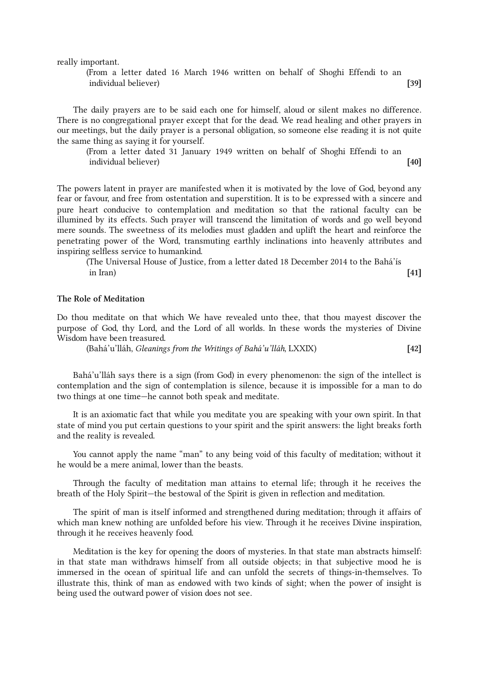really important.

(From a letter dated 16 March 1946 written on behalf of Shoghi Effendi to an individual believer) [39]

The daily prayers are to be said each one for himself, aloud or silent makes no difference. There is no congregational prayer except that for the dead. We read healing and other prayers in our meetings, but the daily prayer is a personal obligation, so someone else reading it is not quite the same thing as saying it for yourself.

(From a letter dated 31 January 1949 written on behalf of Shoghi Effendi to an individual believer) [40]

The powers latent in prayer are manifested when it is motivated by the love of God, beyond any fear or favour, and free from ostentation and superstition. It is to be expressed with a sincere and pure heart conducive to contemplation and meditation so that the rational faculty can be illumined by its effects. Such prayer will transcend the limitation of words and go well beyond mere sounds. The sweetness of its melodies must gladden and uplift the heart and reinforce the penetrating power of the Word, transmuting earthly inclinations into heavenly attributes and inspiring selfless service to humankind.

(The Universal House of Justice, from a letter dated 18 December 2014 to the Bahá'ís in Iran)  $[41]$ 

## <span id="page-6-0"></span>The Role of Meditation

Do thou meditate on that which We have revealed unto thee, that thou mayest discover the purpose of God, thy Lord, and the Lord of all worlds. In these words the mysteries of Divine Wisdom have been treasured.

(Bahá'u'lláh, Gleanings from the Writings of Bahá'u'lláh, LXXIX) [42]

Bahá'u'lláh says there is a sign (from God) in every phenomenon: the sign of the intellect is contemplation and the sign of contemplation is silence, because it is impossible for a man to do two things at one time—he cannot both speak and meditate.

It is an axiomatic fact that while you meditate you are speaking with your own spirit. In that state of mind you put certain questions to your spirit and the spirit answers: the light breaks forth and the reality is revealed.

You cannot apply the name "man" to any being void of this faculty of meditation; without it he would be a mere animal, lower than the beasts.

Through the faculty of meditation man attains to eternal life; through it he receives the breath of the Holy Spirit—the bestowal of the Spirit is given in reflection and meditation.

The spirit of man is itself informed and strengthened during meditation; through it affairs of which man knew nothing are unfolded before his view. Through it he receives Divine inspiration, through it he receives heavenly food.

Meditation is the key for opening the doors of mysteries. In that state man abstracts himself: in that state man withdraws himself from all outside objects; in that subjective mood he is immersed in the ocean of spiritual life and can unfold the secrets of things-in-themselves. To illustrate this, think of man as endowed with two kinds of sight; when the power of insight is being used the outward power of vision does not see.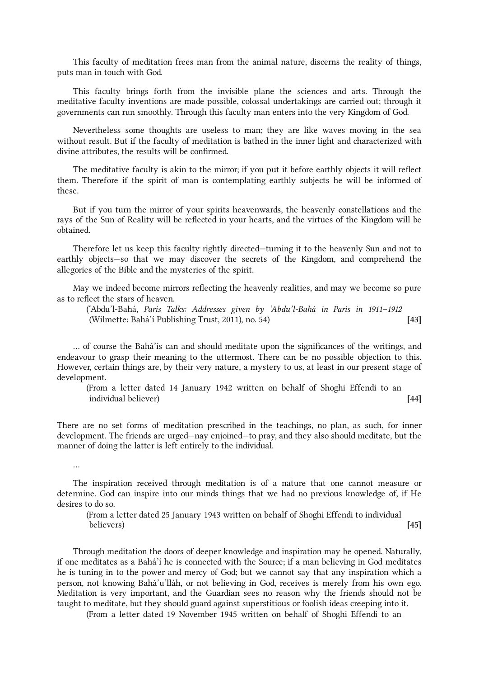This faculty of meditation frees man from the animal nature, discerns the reality of things, puts man in touch with God.

This faculty brings forth from the invisible plane the sciences and arts. Through the meditative faculty inventions are made possible, colossal undertakings are carried out; through it governments can run smoothly. Through this faculty man enters into the very Kingdom of God.

Nevertheless some thoughts are useless to man; they are like waves moving in the sea without result. But if the faculty of meditation is bathed in the inner light and characterized with divine attributes, the results will be confirmed.

The meditative faculty is akin to the mirror; if you put it before earthly objects it will reflect them. Therefore if the spirit of man is contemplating earthly subjects he will be informed of these.

But if you turn the mirror of your spirits heavenwards, the heavenly constellations and the rays of the Sun of Reality will be reflected in your hearts, and the virtues of the Kingdom will be obtained.

Therefore let us keep this faculty rightly directed—turning it to the heavenly Sun and not to earthly objects—so that we may discover the secrets of the Kingdom, and comprehend the allegories of the Bible and the mysteries of the spirit.

May we indeed become mirrors reflecting the heavenly realities, and may we become so pure as to reflect the stars of heaven.

('Abdu'l-Bahá, Paris Talks: Addresses given by 'Abdu'l-Bahá in Paris in 1911–1912 (Wilmette: Bahá'í Publishing Trust, 2011), no. 54) [43]

... of course the Bahá'ís can and should meditate upon the significances of the writings, and endeavour to grasp their meaning to the uttermost. There can be no possible objection to this. However, certain things are, by their very nature, a mystery to us, at least in our present stage of development.

(From a letter dated 14 January 1942 written on behalf of Shoghi Effendi to an individual believer) [44]

There are no set forms of meditation prescribed in the teachings, no plan, as such, for inner development. The friends are urged—nay enjoined—to pray, and they also should meditate, but the manner of doing the latter is left entirely to the individual.

…

The inspiration received through meditation is of a nature that one cannot measure or determine. God can inspire into our minds things that we had no previous knowledge of, if He desires to do so.

(From a letter dated 25 January 1943 written on behalf of Shoghi Effendi to individual believers) [45] [16] Expansion (16) [16] Expansion (16) [16] Expansion (16) [16] International Control (16) [16

Through meditation the doors of deeper knowledge and inspiration may be opened. Naturally, if one meditates as a Bahá'í he is connected with the Source; if a man believing in God meditates he is tuning in to the power and mercy of God; but we cannot say that any inspiration which a person, not knowing Bahá'u'lláh, or not believing in God, receives is merely from his own ego. Meditation is very important, and the Guardian sees no reason why the friends should not be taught to meditate, but they should guard against superstitious or foolish ideas creeping into it.

(From a letter dated 19 November 1945 written on behalf of Shoghi Effendi to an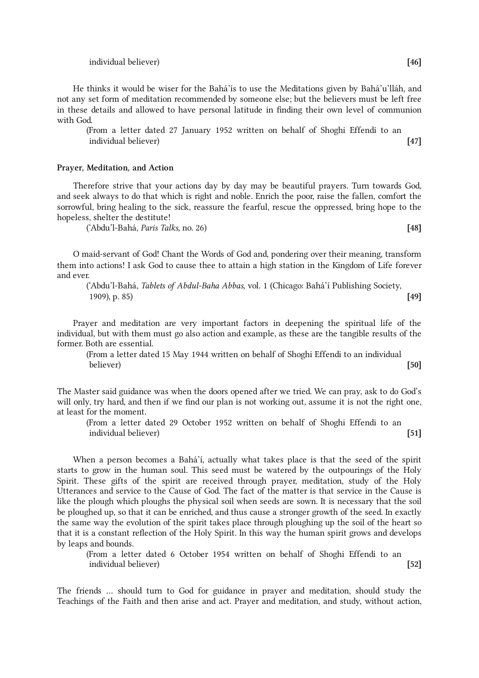individual believer) [46]

He thinks it would be wiser for the Bahá'ís to use the Meditations given by Bahá'u'lláh, and not any set form of meditation recommended by someone else; but the believers must be left free in these details and allowed to have personal latitude in finding their own level of communion with God.

(From a letter dated 27 January 1952 written on behalf of Shoghi Effendi to an individual believer) [47]

#### <span id="page-8-0"></span>Prayer, Meditation, and Action

Therefore strive that your actions day by day may be beautiful prayers. Turn towards God, and seek always to do that which is right and noble. Enrich the poor, raise the fallen, comfort the sorrowful, bring healing to the sick, reassure the fearful, rescue the oppressed, bring hope to the hopeless, shelter the destitute!

 $'Abdu'l-Bahá, *Paris Talks*, no. 26)$  [48]

O maid-servant of God! Chant the Words of God and, pondering over their meaning, transform them into actions! I ask God to cause thee to attain a high station in the Kingdom of Life forever and ever.

('Abdu'l-Bahá, Tablets of Abdul-Baha Abbas, vol. 1 (Chicago: Bahá'í Publishing Society, 1909), p. 85) [49]

Prayer and meditation are very important factors in deepening the spiritual life of the individual, but with them must go also action and example, as these are the tangible results of the former. Both are essential.

(From a letter dated 15 May 1944 written on behalf of Shoghi Effendi to an individual believer) [50]

The Master said guidance was when the doors opened after we tried. We can pray, ask to do God's will only, try hard, and then if we find our plan is not working out, assume it is not the right one, at least for the moment.

(From a letter dated 29 October 1952 written on behalf of Shoghi Effendi to an individual believer) [51]

When a person becomes a Bahá'í, actually what takes place is that the seed of the spirit starts to grow in the human soul. This seed must be watered by the outpourings of the Holy Spirit. These gifts of the spirit are received through prayer, meditation, study of the Holy Utterances and service to the Cause of God. The fact of the matter is that service in the Cause is like the plough which ploughs the physical soil when seeds are sown. It is necessary that the soil be ploughed up, so that it can be enriched, and thus cause a stronger growth of the seed. In exactly the same way the evolution of the spirit takes place through ploughing up the soil of the heart so that it is a constant reflection of the Holy Spirit. In this way the human spirit grows and develops by leaps and bounds.

(From a letter dated 6 October 1954 written on behalf of Shoghi Effendi to an individual believer) [52]

The friends … should turn to God for guidance in prayer and meditation, should study the Teachings of the Faith and then arise and act. Prayer and meditation, and study, without action,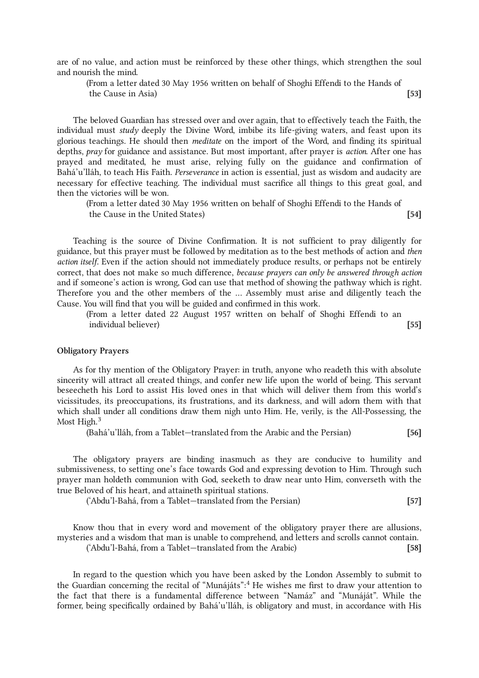are of no value, and action must be reinforced by these other things, which strengthen the soul and nourish the mind.

(From a letter dated 30 May 1956 written on behalf of Shoghi Effendi to the Hands of the Cause in Asia) [53]

The beloved Guardian has stressed over and over again, that to effectively teach the Faith, the individual must study deeply the Divine Word, imbibe its life-giving waters, and feast upon its glorious teachings. He should then meditate on the import of the Word, and finding its spiritual depths, *pray* for guidance and assistance. But most important, after prayer is *action*. After one has prayed and meditated, he must arise, relying fully on the guidance and confirmation of Bahá'u'lláh, to teach His Faith. Perseverance in action is essential, just as wisdom and audacity are necessary for effective teaching. The individual must sacrifice all things to this great goal, and then the victories will be won.

(From a letter dated 30 May 1956 written on behalf of Shoghi Effendi to the Hands of the Cause in the United States) [54]

Teaching is the source of Divine Confirmation. It is not sufficient to pray diligently for guidance, but this prayer must be followed by meditation as to the best methods of action and then action itself. Even if the action should not immediately produce results, or perhaps not be entirely correct, that does not make so much difference, because prayers can only be answered through action and if someone's action is wrong, God can use that method of showing the pathway which is right. Therefore you and the other members of the … Assembly must arise and diligently teach the Cause. You will find that you will be guided and confirmed in this work.

(From a letter dated 22 August 1957 written on behalf of Shoghi Effendi to an individual believer) [55]

#### <span id="page-9-0"></span>Obligatory Prayers

<span id="page-9-1"></span>As for thy mention of the Obligatory Prayer: in truth, anyone who readeth this with absolute sincerity will attract all created things, and confer new life upon the world of being. This servant beseecheth his Lord to assist His loved ones in that which will deliver them from this world's vicissitudes, its preoccupations, its frustrations, and its darkness, and will adorn them with that which shall under all conditions draw them nigh unto Him. He, verily, is the All-Possessing, the Most High.<sup>[3](#page-20-2)</sup>

(Bahá'u'lláh, from a Tablet—translated from the Arabic and the Persian) [56]

The obligatory prayers are binding inasmuch as they are conducive to humility and submissiveness, to setting one's face towards God and expressing devotion to Him. Through such prayer man holdeth communion with God, seeketh to draw near unto Him, converseth with the true Beloved of his heart, and attaineth spiritual stations.

('Abdu'l-Bahá, from a Tablet—translated from the Persian) [57]

Know thou that in every word and movement of the obligatory prayer there are allusions, mysteries and a wisdom that man is unable to comprehend, and letters and scrolls cannot contain. ('Abdu'l-Bahá, from a Tablet—translated from the Arabic) [58]

<span id="page-9-2"></span>In regard to the question which you have been asked by the London Assembly to submit to the Guardian concerning the recital of "Munájáts": [4](#page-20-3) He wishes me first to draw your attention to the fact that there is a fundamental difference between "Namáz" and "Munáját". While the former, being specifically ordained by Bahá'u'lláh, is obligatory and must, in accordance with His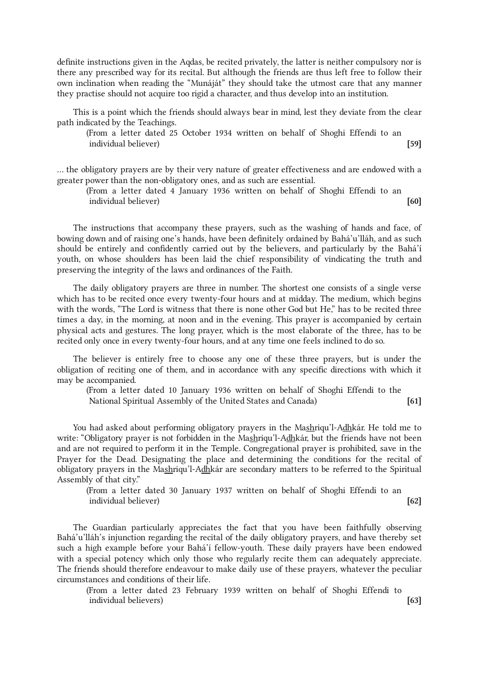definite instructions given in the Aqdas, be recited privately, the latter is neither compulsory nor is there any prescribed way for its recital. But although the friends are thus left free to follow their own inclination when reading the "Munáját" they should take the utmost care that any manner they practise should not acquire too rigid a character, and thus develop into an institution.

This is a point which the friends should always bear in mind, lest they deviate from the clear path indicated by the Teachings.

(From a letter dated 25 October 1934 written on behalf of Shoghi Effendi to an individual believer) [59]

... the obligatory prayers are by their very nature of greater effectiveness and are endowed with a greater power than the non-obligatory ones, and as such are essential.

(From a letter dated 4 January 1936 written on behalf of Shoghi Effendi to an individual believer) [60]

The instructions that accompany these prayers, such as the washing of hands and face, of bowing down and of raising one's hands, have been definitely ordained by Bahá'u'lláh, and as such should be entirely and confidently carried out by the believers, and particularly by the Bahá'í youth, on whose shoulders has been laid the chief responsibility of vindicating the truth and preserving the integrity of the laws and ordinances of the Faith.

The daily obligatory prayers are three in number. The shortest one consists of a single verse which has to be recited once every twenty-four hours and at midday. The medium, which begins with the words, "The Lord is witness that there is none other God but He," has to be recited three times a day, in the morning, at noon and in the evening. This prayer is accompanied by certain physical acts and gestures. The long prayer, which is the most elaborate of the three, has to be recited only once in every twenty-four hours, and at any time one feels inclined to do so.

The believer is entirely free to choose any one of these three prayers, but is under the obligation of reciting one of them, and in accordance with any specific directions with which it may be accompanied.

(From a letter dated 10 January 1936 written on behalf of Shoghi Effendi to the National Spiritual Assembly of the United States and Canada) [61]

You had asked about performing obligatory prayers in the Mashriqu'l-Adhkár. He told me to write: "Obligatory prayer is not forbidden in the Mashriqu'l-Adhkár, but the friends have not been and are not required to perform it in the Temple. Congregational prayer is prohibited, save in the Prayer for the Dead. Designating the place and determining the conditions for the recital of obligatory prayers in the Mashriqu'l-Adhkár are secondary matters to be referred to the Spiritual Assembly of that city."

(From a letter dated 30 January 1937 written on behalf of Shoghi Effendi to an individual believer) [62]

The Guardian particularly appreciates the fact that you have been faithfully observing Bahá'u'lláh's injunction regarding the recital of the daily obligatory prayers, and have thereby set such a high example before your Bahá'í fellow-youth. These daily prayers have been endowed with a special potency which only those who regularly recite them can adequately appreciate. The friends should therefore endeavour to make daily use of these prayers, whatever the peculiar circumstances and conditions of their life.

(From a letter dated 23 February 1939 written on behalf of Shoghi Effendi to individual believers) [63]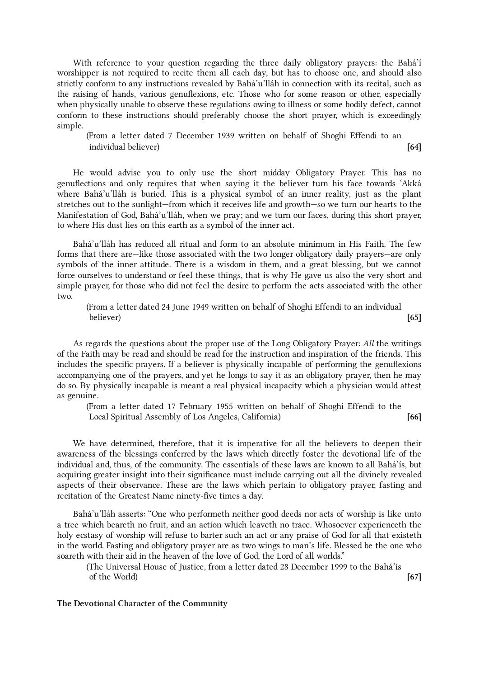With reference to your question regarding the three daily obligatory prayers: the Bahá'í worshipper is not required to recite them all each day, but has to choose one, and should also strictly conform to any instructions revealed by Bahá'u'lláh in connection with its recital, such as the raising of hands, various genuflexions, etc. Those who for some reason or other, especially when physically unable to observe these regulations owing to illness or some bodily defect, cannot conform to these instructions should preferably choose the short prayer, which is exceedingly simple.

(From a letter dated 7 December 1939 written on behalf of Shoghi Effendi to an individual believer) [64]

He would advise you to only use the short midday Obligatory Prayer. This has no genuflections and only requires that when saying it the believer turn his face towards 'Akká where Bahá'u'lláh is buried. This is a physical symbol of an inner reality, just as the plant stretches out to the sunlight—from which it receives life and growth—so we turn our hearts to the Manifestation of God, Bahá'u'lláh, when we pray; and we turn our faces, during this short prayer, to where His dust lies on this earth as a symbol of the inner act.

Bahá'u'lláh has reduced all ritual and form to an absolute minimum in His Faith. The few forms that there are—like those associated with the two longer obligatory daily prayers—are only symbols of the inner attitude. There is a wisdom in them, and a great blessing, but we cannot force ourselves to understand or feel these things, that is why He gave us also the very short and simple prayer, for those who did not feel the desire to perform the acts associated with the other two.

(From a letter dated 24 June 1949 written on behalf of Shoghi Effendi to an individual believer) [65]

As regards the questions about the proper use of the Long Obligatory Prayer: All the writings of the Faith may be read and should be read for the instruction and inspiration of the friends. This includes the specific prayers. If a believer is physically incapable of performing the genuflexions accompanying one of the prayers, and yet he longs to say it as an obligatory prayer, then he may do so. By physically incapable is meant a real physical incapacity which a physician would attest as genuine.

(From a letter dated 17 February 1955 written on behalf of Shoghi Effendi to the Local Spiritual Assembly of Los Angeles, California) [66]

We have determined, therefore, that it is imperative for all the believers to deepen their awareness of the blessings conferred by the laws which directly foster the devotional life of the individual and, thus, of the community. The essentials of these laws are known to all Bahá'ís, but acquiring greater insight into their significance must include carrying out all the divinely revealed aspects of their observance. These are the laws which pertain to obligatory prayer, fasting and recitation of the Greatest Name ninety-five times a day.

Bahá'u'lláh asserts: "One who performeth neither good deeds nor acts of worship is like unto a tree which beareth no fruit, and an action which leaveth no trace. Whosoever experienceth the holy ecstasy of worship will refuse to barter such an act or any praise of God for all that existeth in the world. Fasting and obligatory prayer are as two wings to man's life. Blessed be the one who soareth with their aid in the heaven of the love of God, the Lord of all worlds."

(The Universal House of Justice, from a letter dated 28 December 1999 to the Bahá'ís of the World) [67]

## <span id="page-11-0"></span>The Devotional Character of the Community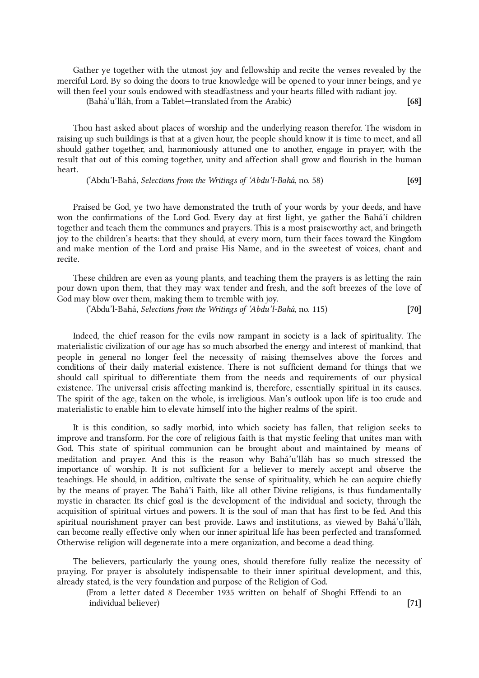Gather ye together with the utmost joy and fellowship and recite the verses revealed by the merciful Lord. By so doing the doors to true knowledge will be opened to your inner beings, and ye will then feel your souls endowed with steadfastness and your hearts filled with radiant joy.

(Bahá'u'lláh, from a Tablet—translated from the Arabic) [68]

Thou hast asked about places of worship and the underlying reason therefor. The wisdom in raising up such buildings is that at a given hour, the people should know it is time to meet, and all should gather together, and, harmoniously attuned one to another, engage in prayer; with the result that out of this coming together, unity and affection shall grow and flourish in the human heart.

('Abdu'l-Bahá, Selections from the Writings of 'Abdu'l-Bahá, no. 58) [69]

Praised be God, ye two have demonstrated the truth of your words by your deeds, and have won the confirmations of the Lord God. Every day at first light, ye gather the Bahá'í children together and teach them the communes and prayers. This is a most praiseworthy act, and bringeth joy to the children's hearts: that they should, at every morn, turn their faces toward the Kingdom and make mention of the Lord and praise His Name, and in the sweetest of voices, chant and recite.

These children are even as young plants, and teaching them the prayers is as letting the rain pour down upon them, that they may wax tender and fresh, and the soft breezes of the love of God may blow over them, making them to tremble with joy.

('Abdu'l-Bahá, Selections from the Writings of 'Abdu'l-Bahá, no. 115) [70]

Indeed, the chief reason for the evils now rampant in society is a lack of spirituality. The materialistic civilization of our age has so much absorbed the energy and interest of mankind, that people in general no longer feel the necessity of raising themselves above the forces and conditions of their daily material existence. There is not sufficient demand for things that we should call spiritual to differentiate them from the needs and requirements of our physical existence. The universal crisis affecting mankind is, therefore, essentially spiritual in its causes. The spirit of the age, taken on the whole, is irreligious. Man's outlook upon life is too crude and materialistic to enable him to elevate himself into the higher realms of the spirit.

It is this condition, so sadly morbid, into which society has fallen, that religion seeks to improve and transform. For the core of religious faith is that mystic feeling that unites man with God. This state of spiritual communion can be brought about and maintained by means of meditation and prayer. And this is the reason why Bahá'u'lláh has so much stressed the importance of worship. It is not sufficient for a believer to merely accept and observe the teachings. He should, in addition, cultivate the sense of spirituality, which he can acquire chiefly by the means of prayer. The Bahá'í Faith, like all other Divine religions, is thus fundamentally mystic in character. Its chief goal is the development of the individual and society, through the acquisition of spiritual virtues and powers. It is the soul of man that has first to be fed. And this spiritual nourishment prayer can best provide. Laws and institutions, as viewed by Bahá'u'lláh, can become really effective only when our inner spiritual life has been perfected and transformed. Otherwise religion will degenerate into a mere organization, and become a dead thing.

The believers, particularly the young ones, should therefore fully realize the necessity of praying. For prayer is absolutely indispensable to their inner spiritual development, and this, already stated, is the very foundation and purpose of the Religion of God.

(From a letter dated 8 December 1935 written on behalf of Shoghi Effendi to an individual believer) [71]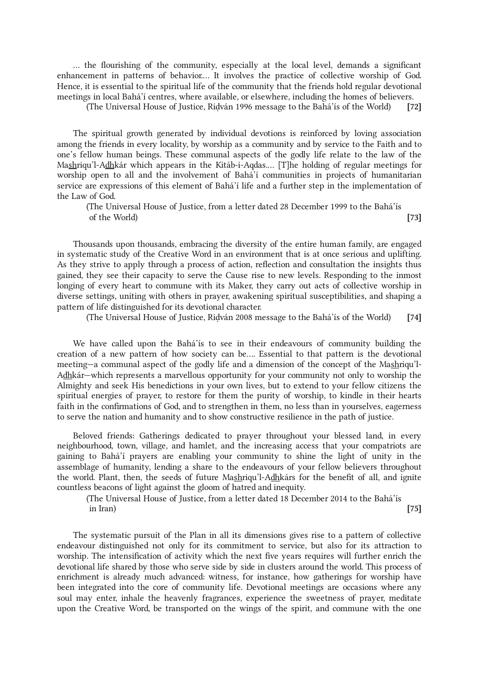… the flourishing of the community, especially at the local level, demands a significant enhancement in patterns of behavior.… It involves the practice of collective worship of God. Hence, it is essential to the spiritual life of the community that the friends hold regular devotional meetings in local Bahá'í centres, where available, or elsewhere, including the homes of believers.

(The Universal House of Justice, Riḍván 1996 message to the Bahá'ís of the World) [72]

The spiritual growth generated by individual devotions is reinforced by loving association among the friends in every locality, by worship as a community and by service to the Faith and to one's fellow human beings. These communal aspects of the godly life relate to the law of the Mashriqu'l-Adhkár which appears in the Kitáb-i-Aqdas.… [T]he holding of regular meetings for worship open to all and the involvement of Bahá'í communities in projects of humanitarian service are expressions of this element of Bahá'í life and a further step in the implementation of the Law of God.

(The Universal House of Justice, from a letter dated 28 December 1999 to the Bahá'ís of the World) [73]

Thousands upon thousands, embracing the diversity of the entire human family, are engaged in systematic study of the Creative Word in an environment that is at once serious and uplifting. As they strive to apply through a process of action, reflection and consultation the insights thus gained, they see their capacity to serve the Cause rise to new levels. Responding to the inmost longing of every heart to commune with its Maker, they carry out acts of collective worship in diverse settings, uniting with others in prayer, awakening spiritual susceptibilities, and shaping a pattern of life distinguished for its devotional character.

(The Universal House of Justice, Riḍván 2008 message to the Bahá'ís of the World) [74]

We have called upon the Bahá'ís to see in their endeavours of community building the creation of a new pattern of how society can be.... Essential to that pattern is the devotional meeting-a communal aspect of the godly life and a dimension of the concept of the Mashriqu'l-Adhkár—which represents a marvellous opportunity for your community not only to worship the Almighty and seek His benedictions in your own lives, but to extend to your fellow citizens the spiritual energies of prayer, to restore for them the purity of worship, to kindle in their hearts faith in the confirmations of God, and to strengthen in them, no less than in yourselves, eagerness to serve the nation and humanity and to show constructive resilience in the path of justice.

Beloved friends: Gatherings dedicated to prayer throughout your blessed land, in every neighbourhood, town, village, and hamlet, and the increasing access that your compatriots are gaining to Bahá'í prayers are enabling your community to shine the light of unity in the assemblage of humanity, lending a share to the endeavours of your fellow believers throughout the world. Plant, then, the seeds of future Mashriqu'l-Adhkárs for the benefit of all, and ignite countless beacons of light against the gloom of hatred and inequity.

(The Universal House of Justice, from a letter dated 18 December 2014 to the Bahá'ís in Iran) [75]

The systematic pursuit of the Plan in all its dimensions gives rise to a pattern of collective endeavour distinguished not only for its commitment to service, but also for its attraction to worship. The intensification of activity which the next five years requires will further enrich the devotional life shared by those who serve side by side in clusters around the world. This process of enrichment is already much advanced: witness, for instance, how gatherings for worship have been integrated into the core of community life. Devotional meetings are occasions where any soul may enter, inhale the heavenly fragrances, experience the sweetness of prayer, meditate upon the Creative Word, be transported on the wings of the spirit, and commune with the one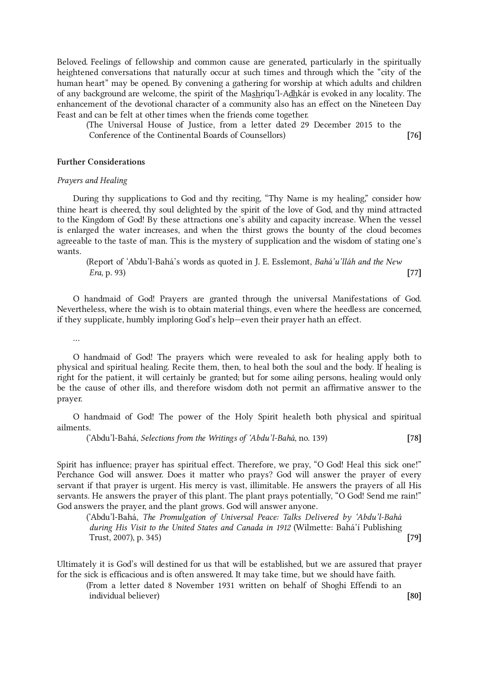Beloved. Feelings of fellowship and common cause are generated, particularly in the spiritually heightened conversations that naturally occur at such times and through which the "city of the human heart" may be opened. By convening a gathering for worship at which adults and children of any background are welcome, the spirit of the Mashriqu'l-Adhkár is evoked in any locality. The enhancement of the devotional character of a community also has an effect on the Nineteen Day Feast and can be felt at other times when the friends come together.

(The Universal House of Justice, from a letter dated 29 December 2015 to the Conference of the Continental Boards of Counsellors) [76]

#### <span id="page-14-0"></span>Further Considerations

## <span id="page-14-1"></span>Prayers and Healing

…

During thy supplications to God and thy reciting, "Thy Name is my healing," consider how thine heart is cheered, thy soul delighted by the spirit of the love of God, and thy mind attracted to the Kingdom of God! By these attractions one's ability and capacity increase. When the vessel is enlarged the water increases, and when the thirst grows the bounty of the cloud becomes agreeable to the taste of man. This is the mystery of supplication and the wisdom of stating one's wants.

(Report of 'Abdu'l-Bahá's words as quoted in J. E. Esslemont, Bahá'u'lláh and the New Era, p. 93)  $[77]$ 

O handmaid of God! Prayers are granted through the universal Manifestations of God. Nevertheless, where the wish is to obtain material things, even where the heedless are concerned, if they supplicate, humbly imploring God's help—even their prayer hath an effect.

O handmaid of God! The prayers which were revealed to ask for healing apply both to physical and spiritual healing. Recite them, then, to heal both the soul and the body. If healing is right for the patient, it will certainly be granted; but for some ailing persons, healing would only be the cause of other ills, and therefore wisdom doth not permit an affirmative answer to the prayer.

O handmaid of God! The power of the Holy Spirit healeth both physical and spiritual ailments.

('Abdu'l-Bahá, Selections from the Writings of 'Abdu'l-Bahá, no. 139) [78]

Spirit has influence; prayer has spiritual effect. Therefore, we pray, "O God! Heal this sick one!" Perchance God will answer. Does it matter who prays? God will answer the prayer of every servant if that prayer is urgent. His mercy is vast, illimitable. He answers the prayers of all His servants. He answers the prayer of this plant. The plant prays potentially, "O God! Send me rain!" God answers the prayer, and the plant grows. God will answer anyone.

('Abdu'l-Bahá, The Promulgation of Universal Peace: Talks Delivered by 'Abdu'l-Bahá during His Visit to the United States and Canada in 1912 (Wilmette: Bahá'í Publishing Trust, 2007), p. 345) [79]

Ultimately it is God's will destined for us that will be established, but we are assured that prayer for the sick is efficacious and is often answered. It may take time, but we should have faith.

(From a letter dated 8 November 1931 written on behalf of Shoghi Effendi to an individual believer) [80]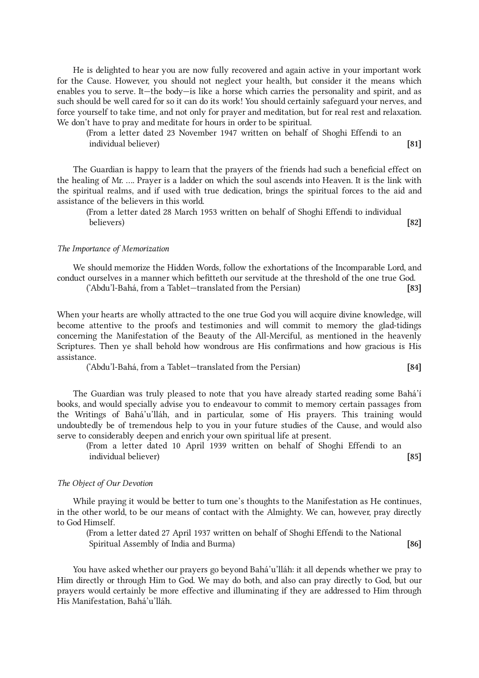He is delighted to hear you are now fully recovered and again active in your important work for the Cause. However, you should not neglect your health, but consider it the means which enables you to serve. It—the body—is like a horse which carries the personality and spirit, and as such should be well cared for so it can do its work! You should certainly safeguard your nerves, and force yourself to take time, and not only for prayer and meditation, but for real rest and relaxation. We don't have to pray and meditate for hours in order to be spiritual.

(From a letter dated 23 November 1947 written on behalf of Shoghi Effendi to an individual believer) [81]

The Guardian is happy to learn that the prayers of the friends had such a beneficial effect on the healing of Mr. .... Prayer is a ladder on which the soul ascends into Heaven. It is the link with the spiritual realms, and if used with true dedication, brings the spiritual forces to the aid and assistance of the believers in this world.

(From a letter dated 28 March 1953 written on behalf of Shoghi Effendi to individual believers) [82]

#### <span id="page-15-0"></span>The Importance of Memorization

We should memorize the Hidden Words, follow the exhortations of the Incomparable Lord, and conduct ourselves in a manner which befitteth our servitude at the threshold of the one true God. ('Abdu'l-Bahá, from a Tablet—translated from the Persian) [83]

When your hearts are wholly attracted to the one true God you will acquire divine knowledge, will become attentive to the proofs and testimonies and will commit to memory the glad-tidings concerning the Manifestation of the Beauty of the All-Merciful, as mentioned in the heavenly Scriptures. Then ye shall behold how wondrous are His confirmations and how gracious is His assistance.

('Abdu'l-Bahá, from a Tablet—translated from the Persian) [84]

The Guardian was truly pleased to note that you have already started reading some Bahá'í books, and would specially advise you to endeavour to commit to memory certain passages from the Writings of Bahá'u'lláh, and in particular, some of His prayers. This training would undoubtedly be of tremendous help to you in your future studies of the Cause, and would also serve to considerably deepen and enrich your own spiritual life at present.

(From a letter dated 10 April 1939 written on behalf of Shoghi Effendi to an individual believer) [85]

#### <span id="page-15-1"></span>The Object of Our Devotion

While praying it would be better to turn one's thoughts to the Manifestation as He continues, in the other world, to be our means of contact with the Almighty. We can, however, pray directly to God Himself.

(From a letter dated 27 April 1937 written on behalf of Shoghi Effendi to the National Spiritual Assembly of India and Burma) [86]

You have asked whether our prayers go beyond Bahá'u'lláh: it all depends whether we pray to Him directly or through Him to God. We may do both, and also can pray directly to God, but our prayers would certainly be more effective and illuminating if they are addressed to Him through His Manifestation, Bahá'u'lláh.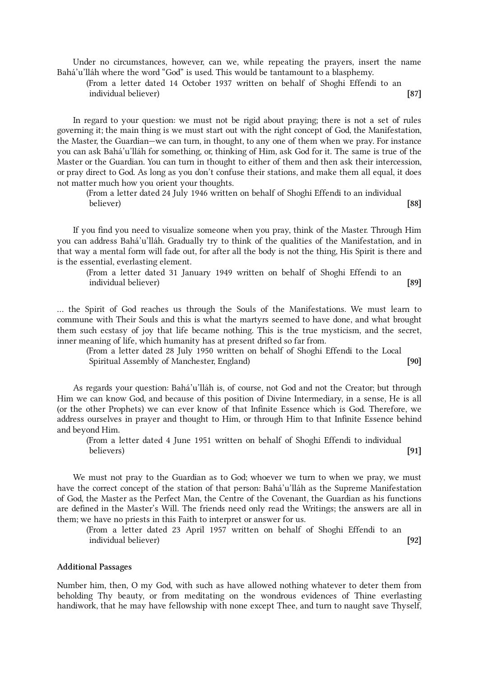Under no circumstances, however, can we, while repeating the prayers, insert the name Bahá'u'lláh where the word "God" is used. This would be tantamount to a blasphemy.

(From a letter dated 14 October 1937 written on behalf of Shoghi Effendi to an individual believer) [87]

In regard to your question: we must not be rigid about praying; there is not a set of rules governing it; the main thing is we must start out with the right concept of God, the Manifestation, the Master, the Guardian—we can turn, in thought, to any one of them when we pray. For instance you can ask Bahá'u'lláh for something, or, thinking of Him, ask God for it. The same is true of the Master or the Guardian. You can turn in thought to either of them and then ask their intercession, or pray direct to God. As long as you don't confuse their stations, and make them all equal, it does not matter much how you orient your thoughts.

(From a letter dated 24 July 1946 written on behalf of Shoghi Effendi to an individual believer) [88]

If you find you need to visualize someone when you pray, think of the Master. Through Him you can address Bahá'u'lláh. Gradually try to think of the qualities of the Manifestation, and in that way a mental form will fade out, for after all the body is not the thing, His Spirit is there and is the essential, everlasting element.

(From a letter dated 31 January 1949 written on behalf of Shoghi Effendi to an individual believer) [89]

… the Spirit of God reaches us through the Souls of the Manifestations. We must learn to commune with Their Souls and this is what the martyrs seemed to have done, and what brought them such ecstasy of joy that life became nothing. This is the true mysticism, and the secret, inner meaning of life, which humanity has at present drifted so far from.

(From a letter dated 28 July 1950 written on behalf of Shoghi Effendi to the Local Spiritual Assembly of Manchester, England) [90]

As regards your question: Bahá'u'lláh is, of course, not God and not the Creator; but through Him we can know God, and because of this position of Divine Intermediary, in a sense, He is all (or the other Prophets) we can ever know of that Infinite Essence which is God. Therefore, we address ourselves in prayer and thought to Him, or through Him to that Infinite Essence behind and beyond Him.

(From a letter dated 4 June 1951 written on behalf of Shoghi Effendi to individual believers) [91] [91] **http://www.fractional.com/** 

We must not pray to the Guardian as to God; whoever we turn to when we pray, we must have the correct concept of the station of that person: Bahá'u'lláh as the Supreme Manifestation of God, the Master as the Perfect Man, the Centre of the Covenant, the Guardian as his functions are defined in the Master's Will. The friends need only read the Writings; the answers are all in them; we have no priests in this Faith to interpret or answer for us.

(From a letter dated 23 April 1957 written on behalf of Shoghi Effendi to an individual believer) [92]

#### <span id="page-16-0"></span>Additional Passages

Number him, then, O my God, with such as have allowed nothing whatever to deter them from beholding Thy beauty, or from meditating on the wondrous evidences of Thine everlasting handiwork, that he may have fellowship with none except Thee, and turn to naught save Thyself,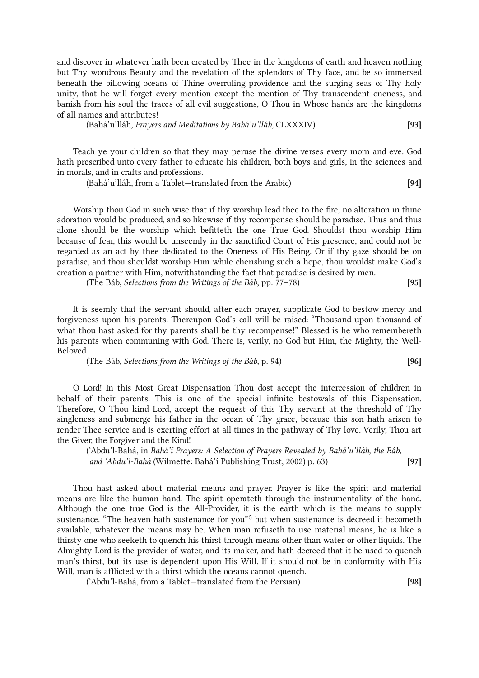and discover in whatever hath been created by Thee in the kingdoms of earth and heaven nothing but Thy wondrous Beauty and the revelation of the splendors of Thy face, and be so immersed beneath the billowing oceans of Thine overruling providence and the surging seas of Thy holy unity, that he will forget every mention except the mention of Thy transcendent oneness, and banish from his soul the traces of all evil suggestions, O Thou in Whose hands are the kingdoms of all names and attributes!

(Bahá'u'lláh, Prayers and Meditations by Bahá'u'lláh, CLXXXIV) [93]

Teach ye your children so that they may peruse the divine verses every morn and eve. God hath prescribed unto every father to educate his children, both boys and girls, in the sciences and in morals, and in crafts and professions.

(Bahá'u'lláh, from a Tablet—translated from the Arabic) [94]

Worship thou God in such wise that if thy worship lead thee to the fire, no alteration in thine adoration would be produced, and so likewise if thy recompense should be paradise. Thus and thus alone should be the worship which befitteth the one True God. Shouldst thou worship Him because of fear, this would be unseemly in the sanctified Court of His presence, and could not be regarded as an act by thee dedicated to the Oneness of His Being. Or if thy gaze should be on paradise, and thou shouldst worship Him while cherishing such a hope, thou wouldst make God's creation a partner with Him, notwithstanding the fact that paradise is desired by men.

(The Báb, Selections from the Writings of the Báb, pp. 77–78) [95]

It is seemly that the servant should, after each prayer, supplicate God to bestow mercy and forgiveness upon his parents. Thereupon God's call will be raised: "Thousand upon thousand of what thou hast asked for thy parents shall be thy recompense!" Blessed is he who remembereth his parents when communing with God. There is, verily, no God but Him, the Mighty, the Well-Beloved.

(The Báb, Selections from the Writings of the Báb, p. 94) [96]

O Lord! In this Most Great Dispensation Thou dost accept the intercession of children in behalf of their parents. This is one of the special infinite bestowals of this Dispensation. Therefore, O Thou kind Lord, accept the request of this Thy servant at the threshold of Thy singleness and submerge his father in the ocean of Thy grace, because this son hath arisen to render Thee service and is exerting effort at all times in the pathway of Thy love. Verily, Thou art the Giver, the Forgiver and the Kind!

('Abdu'l-Bahá, in Bahá'í Prayers: A Selection of Prayers Revealed by Bahá'u'lláh, the Báb, and 'Abdu'l-Bahá (Wilmette: Bahá'í Publishing Trust, 2002) p. 63) [97]

<span id="page-17-0"></span>Thou hast asked about material means and prayer. Prayer is like the spirit and material means are like the human hand. The spirit operateth through the instrumentality of the hand. Although the one true God is the All-Provider, it is the earth which is the means to supply sustenance. "The heaven hath sustenance for you"<sup>[5](#page-20-4)</sup> but when sustenance is decreed it becometh available, whatever the means may be. When man refuseth to use material means, he is like a thirsty one who seeketh to quench his thirst through means other than water or other liquids. The Almighty Lord is the provider of water, and its maker, and hath decreed that it be used to quench man's thirst, but its use is dependent upon His Will. If it should not be in conformity with His Will, man is afflicted with a thirst which the oceans cannot quench.

('Abdu'l-Bahá, from a Tablet—translated from the Persian) [98]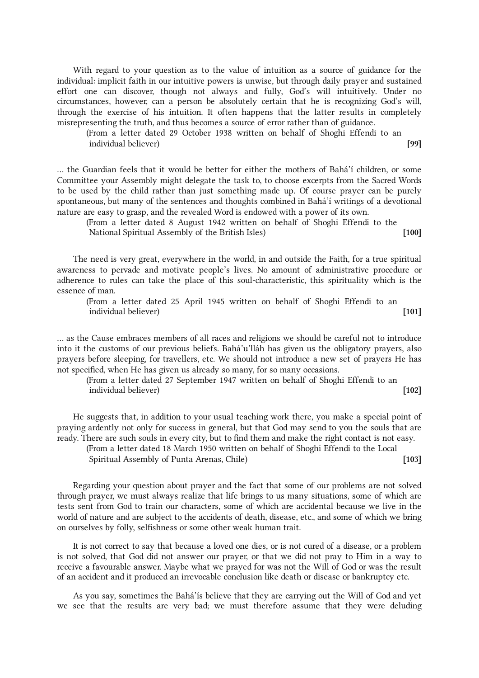With regard to your question as to the value of intuition as a source of guidance for the individual: implicit faith in our intuitive powers is unwise, but through daily prayer and sustained effort one can discover, though not always and fully, God's will intuitively. Under no circumstances, however, can a person be absolutely certain that he is recognizing God's will, through the exercise of his intuition. It often happens that the latter results in completely misrepresenting the truth, and thus becomes a source of error rather than of guidance.

(From a letter dated 29 October 1938 written on behalf of Shoghi Effendi to an individual believer) [99]

… the Guardian feels that it would be better for either the mothers of Bahá'í children, or some Committee your Assembly might delegate the task to, to choose excerpts from the Sacred Words to be used by the child rather than just something made up. Of course prayer can be purely spontaneous, but many of the sentences and thoughts combined in Bahá'í writings of a devotional nature are easy to grasp, and the revealed Word is endowed with a power of its own.

(From a letter dated 8 August 1942 written on behalf of Shoghi Effendi to the National Spiritual Assembly of the British Isles) [100]

The need is very great, everywhere in the world, in and outside the Faith, for a true spiritual awareness to pervade and motivate people's lives. No amount of administrative procedure or adherence to rules can take the place of this soul-characteristic, this spirituality which is the essence of man.

(From a letter dated 25 April 1945 written on behalf of Shoghi Effendi to an individual believer) [101]

... as the Cause embraces members of all races and religions we should be careful not to introduce into it the customs of our previous beliefs. Bahá'u'lláh has given us the obligatory prayers, also prayers before sleeping, for travellers, etc. We should not introduce a new set of prayers He has not specified, when He has given us already so many, for so many occasions.

(From a letter dated 27 September 1947 written on behalf of Shoghi Effendi to an individual believer) [102]

He suggests that, in addition to your usual teaching work there, you make a special point of praying ardently not only for success in general, but that God may send to you the souls that are ready. There are such souls in every city, but to find them and make the right contact is not easy.

(From a letter dated 18 March 1950 written on behalf of Shoghi Effendi to the Local

Spiritual Assembly of Punta Arenas, Chile) [103]

Regarding your question about prayer and the fact that some of our problems are not solved through prayer, we must always realize that life brings to us many situations, some of which are tests sent from God to train our characters, some of which are accidental because we live in the world of nature and are subject to the accidents of death, disease, etc., and some of which we bring on ourselves by folly, selfishness or some other weak human trait.

It is not correct to say that because a loved one dies, or is not cured of a disease, or a problem is not solved, that God did not answer our prayer, or that we did not pray to Him in a way to receive a favourable answer. Maybe what we prayed for was not the Will of God or was the result of an accident and it produced an irrevocable conclusion like death or disease or bankruptcy etc.

As you say, sometimes the Bahá'ís believe that they are carrying out the Will of God and yet we see that the results are very bad; we must therefore assume that they were deluding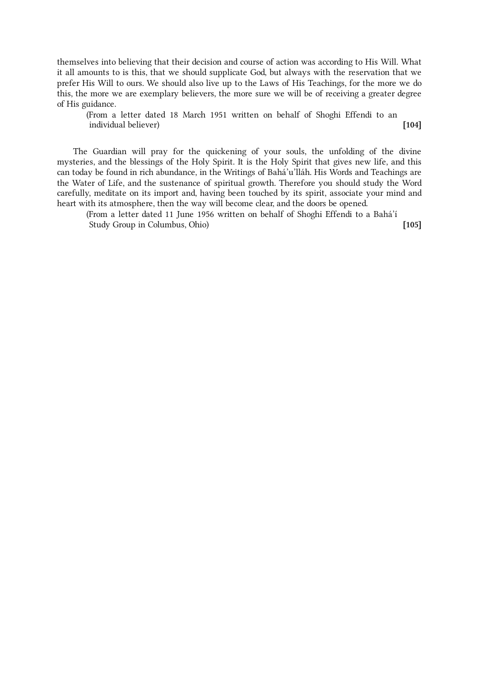themselves into believing that their decision and course of action was according to His Will. What it all amounts to is this, that we should supplicate God, but always with the reservation that we prefer His Will to ours. We should also live up to the Laws of His Teachings, for the more we do this, the more we are exemplary believers, the more sure we will be of receiving a greater degree of His guidance.

(From a letter dated 18 March 1951 written on behalf of Shoghi Effendi to an individual believer) [104]

The Guardian will pray for the quickening of your souls, the unfolding of the divine mysteries, and the blessings of the Holy Spirit. It is the Holy Spirit that gives new life, and this can today be found in rich abundance, in the Writings of Bahá'u'lláh. His Words and Teachings are the Water of Life, and the sustenance of spiritual growth. Therefore you should study the Word carefully, meditate on its import and, having been touched by its spirit, associate your mind and heart with its atmosphere, then the way will become clear, and the doors be opened.

(From a letter dated 11 June 1956 written on behalf of Shoghi Effendi to a Bahá'í Study Group in Columbus, Ohio) [105]